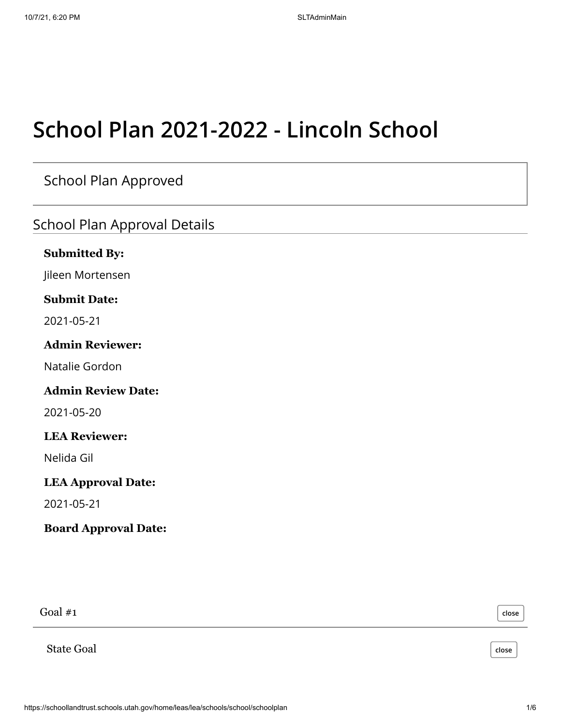# **School Plan 2021-2022 - Lincoln School**

School Plan Approved

School Plan Approval Details

#### **Submitted By:**

Jileen Mortensen

#### **Submit Date:**

2021-05-21

#### **Admin Reviewer:**

Natalie Gordon

#### **Admin Review Date:**

2021-05-20

#### **LEA Reviewer:**

Nelida Gil

#### **LEA Approval Date:**

2021-05-21

#### **Board Approval Date:**

Goal #1

**close**

**close**

State Goal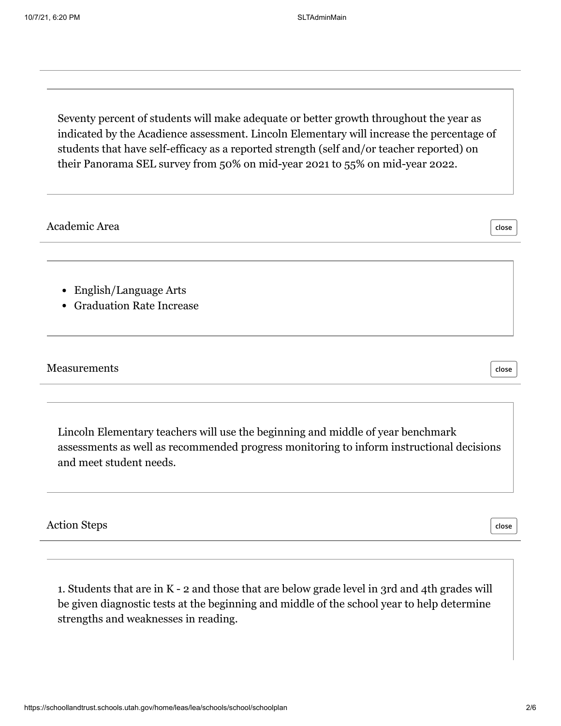Seventy percent of students will make adequate or better growth throughout the year as indicated by the Acadience assessment. Lincoln Elementary will increase the percentage of students that have self-efficacy as a reported strength (self and/or teacher reported) on their Panorama SEL survey from 50% on mid-year 2021 to 55% on mid-year 2022.

| Academic Area                                         | close |
|-------------------------------------------------------|-------|
| • English/Language Arts<br>• Graduation Rate Increase |       |
| Measurements                                          | close |
|                                                       |       |

Lincoln Elementary teachers will use the beginning and middle of year benchmark assessments as well as recommended progress monitoring to inform instructional decisions and meet student needs.

Action Steps

**close**

1. Students that are in K - 2 and those that are below grade level in 3rd and 4th grades will be given diagnostic tests at the beginning and middle of the school year to help determine strengths and weaknesses in reading.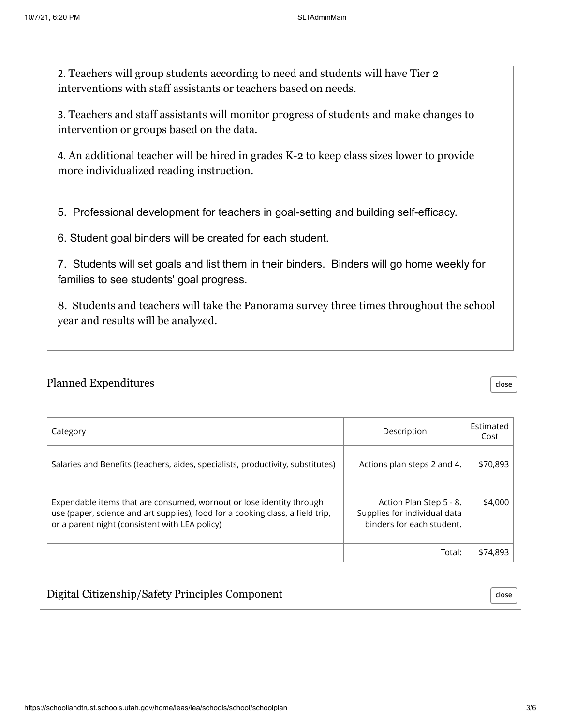2. Teachers will group students according to need and students will have Tier 2 interventions with staff assistants or teachers based on needs.

3. Teachers and staff assistants will monitor progress of students and make changes to intervention or groups based on the data.

4. An additional teacher will be hired in grades K-2 to keep class sizes lower to provide more individualized reading instruction.

5. Professional development for teachers in goal-setting and building self-efficacy.

6. Student goal binders will be created for each student.

7. Students will set goals and list them in their binders. Binders will go home weekly for families to see students' goal progress.

8. Students and teachers will take the Panorama survey three times throughout the school year and results will be analyzed.

#### Planned Expenditures

Category Description Estimated Cost Total: \$74,893 Salaries and Benefits (teachers, aides, specialists, productivity, substitutes) | Actions plan steps 2 and 4. | \$70,893 Expendable items that are consumed, wornout or lose identity through use (paper, science and art supplies), food for a cooking class, a field trip, or a parent night (consistent with LEA policy) \$4,000 Actions plan steps 2 and 4. Action Plan Step 5 - 8. Supplies for individual data binders for each student.

Digital Citizenship/Safety Principles Component

**close**

**close**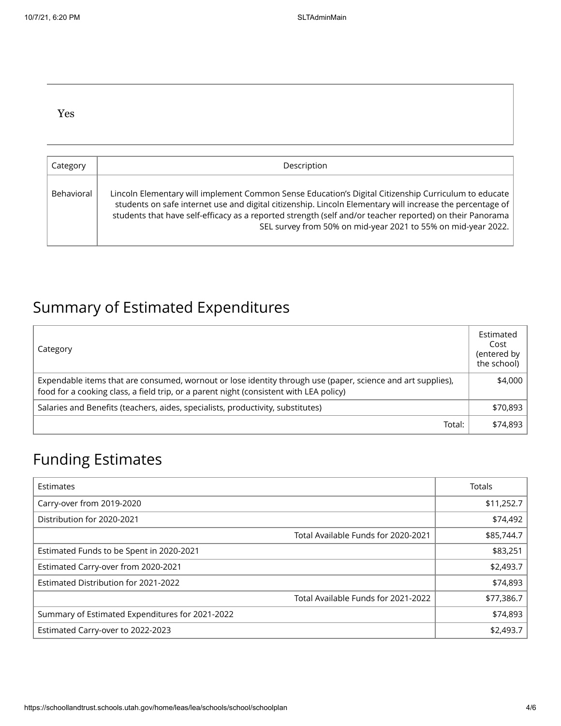#### Yes

| Category   | Description                                                                                                                                                                                                                                                                                                                                                                                    |
|------------|------------------------------------------------------------------------------------------------------------------------------------------------------------------------------------------------------------------------------------------------------------------------------------------------------------------------------------------------------------------------------------------------|
| Behavioral | Lincoln Elementary will implement Common Sense Education's Digital Citizenship Curriculum to educate<br>students on safe internet use and digital citizenship. Lincoln Elementary will increase the percentage of<br>students that have self-efficacy as a reported strength (self and/or teacher reported) on their Panorama<br>SEL survey from 50% on mid-year 2021 to 55% on mid-year 2022. |

### Summary of Estimated Expenditures

| Category                                                                                                                                                                                              | Estimated<br>Cost<br>(entered by<br>the school) |
|-------------------------------------------------------------------------------------------------------------------------------------------------------------------------------------------------------|-------------------------------------------------|
| Expendable items that are consumed, wornout or lose identity through use (paper, science and art supplies),<br>food for a cooking class, a field trip, or a parent night (consistent with LEA policy) | \$4,000                                         |
| Salaries and Benefits (teachers, aides, specialists, productivity, substitutes)                                                                                                                       | \$70,893                                        |
| Total:                                                                                                                                                                                                | \$74,893                                        |

### Funding Estimates

| Estimates                                       |                                     | <b>Totals</b> |
|-------------------------------------------------|-------------------------------------|---------------|
| Carry-over from 2019-2020                       |                                     | \$11,252.7    |
| Distribution for 2020-2021                      |                                     | \$74,492      |
|                                                 | Total Available Funds for 2020-2021 | \$85,744.7    |
| Estimated Funds to be Spent in 2020-2021        |                                     | \$83,251      |
| Estimated Carry-over from 2020-2021             |                                     | \$2,493.7     |
| Estimated Distribution for 2021-2022            |                                     | \$74,893      |
|                                                 | Total Available Funds for 2021-2022 | \$77,386.7    |
| Summary of Estimated Expenditures for 2021-2022 |                                     | \$74,893      |
| Estimated Carry-over to 2022-2023               |                                     | \$2,493.7     |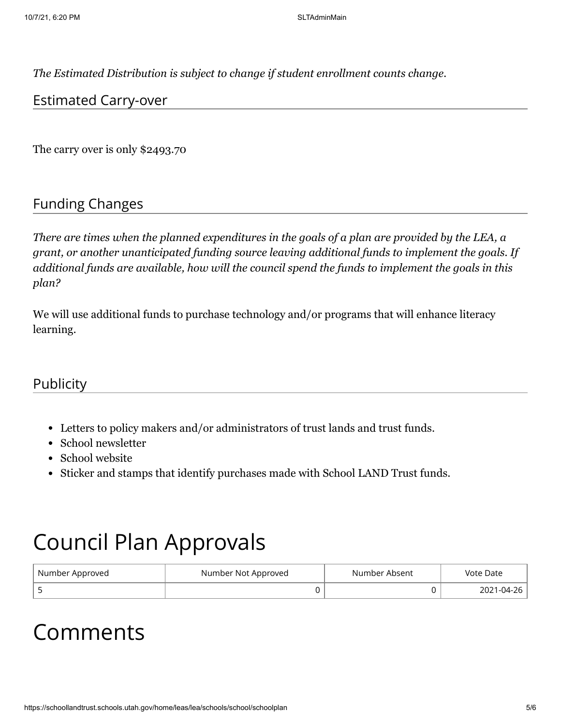*The Estimated Distribution is subject to change if student enrollment counts change.*

#### Estimated Carry-over

The carry over is only \$2493.70

#### Funding Changes

*There are times when the planned expenditures in the goals of a plan are provided by the LEA, a grant, or another unanticipated funding source leaving additional funds to implement the goals. If additional funds are available, how will the council spend the funds to implement the goals in this plan?*

We will use additional funds to purchase technology and/or programs that will enhance literacy learning.

#### **Publicity**

- Letters to policy makers and/or administrators of trust lands and trust funds.
- School newsletter
- School website
- Sticker and stamps that identify purchases made with School LAND Trust funds.

## Council Plan Approvals

| Number Approved | Number Not Approved | Number Absent | Vote Date  |
|-----------------|---------------------|---------------|------------|
|                 |                     |               | 2021-04-26 |

## Comments